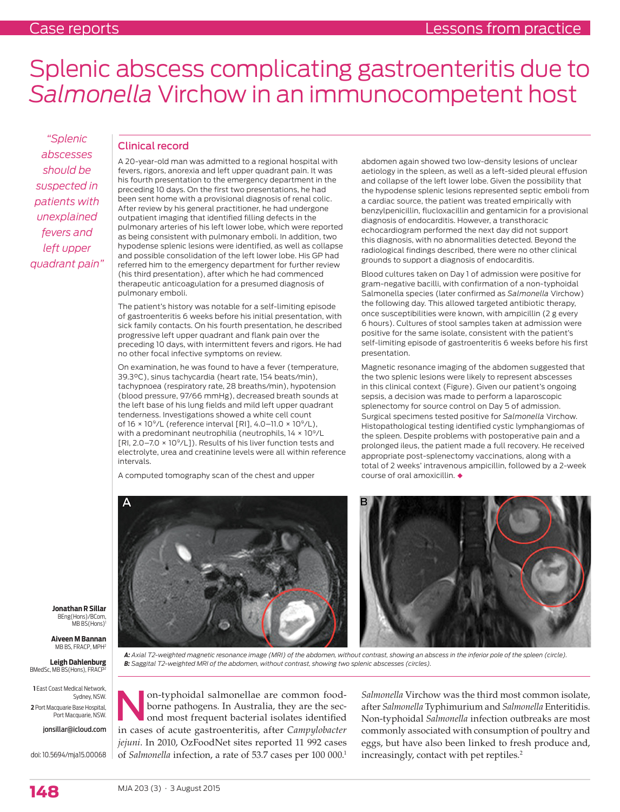# Splenic abscess complicating gastroenteritis due to *Salmonella* Virchow in an immunocompetent host

*"Splenic abscesses should be suspected in patients with unexplained fevers and left upper quadrant pain"*

### Clinical record

A 20-year-old man was admitted to a regional hospital with fevers, rigors, anorexia and left upper quadrant pain. It was his fourth presentation to the emergency department in the preceding 10 days. On the first two presentations, he had been sent home with a provisional diagnosis of renal colic. After review by his general practitioner, he had undergone outpatient imaging that identified filling defects in the pulmonary arteries of his left lower lobe, which were reported as being consistent with pulmonary emboli. In addition, two hypodense splenic lesions were identified, as well as collapse and possible consolidation of the left lower lobe. His GP had referred him to the emergency department for further review (his third presentation), after which he had commenced therapeutic anticoagulation for a presumed diagnosis of pulmonary emboli.

The patient's history was notable for a self-limiting episode of gastroenteritis 6 weeks before his initial presentation, with sick family contacts. On his fourth presentation, he described progressive left upper quadrant and flank pain over the preceding 10 days, with intermittent fevers and rigors. He had no other focal infective symptoms on review.

On examination, he was found to have a fever (temperature, 39.3°C), sinus tachycardia (heart rate, 154 beats/min), tachypnoea (respiratory rate, 28 breaths/min), hypotension (blood pressure, 97/66 mmHg), decreased breath sounds at the left base of his lung fields and mild left upper quadrant tenderness. Investigations showed a white cell count of  $16 \times 10^9$ /L (reference interval [RI], 4.0–11.0  $\times 10^9$ /L), with a predominant neutrophilia (neutrophils,  $14 \times 10^9 / L$ [RI,  $2.0 - 7.0 \times 10^9 / L$ ]). Results of his liver function tests and electrolyte, urea and creatinine levels were all within reference intervals.

A computed tomography scan of the chest and upper

abdomen again showed two low-density lesions of unclear aetiology in the spleen, as well as a left-sided pleural effusion and collapse of the left lower lobe. Given the possibility that the hypodense splenic lesions represented septic emboli from a cardiac source, the patient was treated empirically with benzylpenicillin, flucloxacillin and gentamicin for a provisional diagnosis of endocarditis. However, a transthoracic echocardiogram performed the next day did not support this diagnosis, with no abnormalities detected. Beyond the radiological findings described, there were no other clinical grounds to support a diagnosis of endocarditis.

Blood cultures taken on Day 1 of admission were positive for gram-negative bacilli, with confirmation of a non-typhoidal Salmonella species (later confirmed as *Salmonella* Virchow) the following day. This allowed targeted antibiotic therapy, once susceptibilities were known, with ampicillin (2 g every 6 hours). Cultures of stool samples taken at admission were positive for the same isolate, consistent with the patient's self-limiting episode of gastroenteritis 6 weeks before his first presentation.

Magnetic resonance imaging of the abdomen suggested that the two splenic lesions were likely to represent abscesses in this clinical context (Figure). Given our patient's ongoing sepsis, a decision was made to perform a laparoscopic splenectomy for source control on Day 5 of admission. Surgical specimens tested positive for *Salmonella* Virchow. Histopathological testing identified cystic lymphangiomas of the spleen. Despite problems with postoperative pain and a prolonged ileus, the patient made a full recovery. He received appropriate post-splenectomy vaccinations, along with a total of 2 weeks' intravenous ampicillin, followed by a 2-week course of oral amoxicillin.  $\triangleleft$ 



**Jonathan R Sillar**  BEng(Hons)/BCom, MB BS(Hons)

**Aiveen M Bannan** MB BS, FRACP, MPH<sup>2</sup>

**Leigh Dahlenburg** BMedSc, MB BS(Hons), FRACP

**1** East Coast Medical Network, Sydney, NSW. **2** Port Macquarie Base Hospital, Port Macquarie, NSW.

jonsillar@icloud.com

doi: 10.5694/mja15.00068

*A: Axial T2-weighted magnetic resonance image (MRI) of the abdomen, without contrast, showing an abscess in the inferior pole of the spleen (circle). B: Saggital T2-weighted MRI of the abdomen, without contrast, showing two splenic abscesses (circles).*

**Non-typhoidal salmonellae are common food-**<br>borne pathogens. In Australia, they are the sec-<br>ond most frequent bacterial isolates identified borne pathogens. In Australia, they are the secin cases of acute gastroenteritis, after *Campylobacter jejuni*. In 2010, OzFoodNet sites reported 11 992 cases of *Salmonella* infection, a rate of 53.7 cases per 100 000.1

*Salmonella* Virchow was the third most common isolate, after *Salmonella* Typhimurium and *Salmonella* Enteritidis. Non-typhoidal *Salmonella* infection outbreaks are most commonly associated with consumption of poultry and eggs, but have also been linked to fresh produce and, increasingly, contact with pet reptiles.<sup>2</sup>

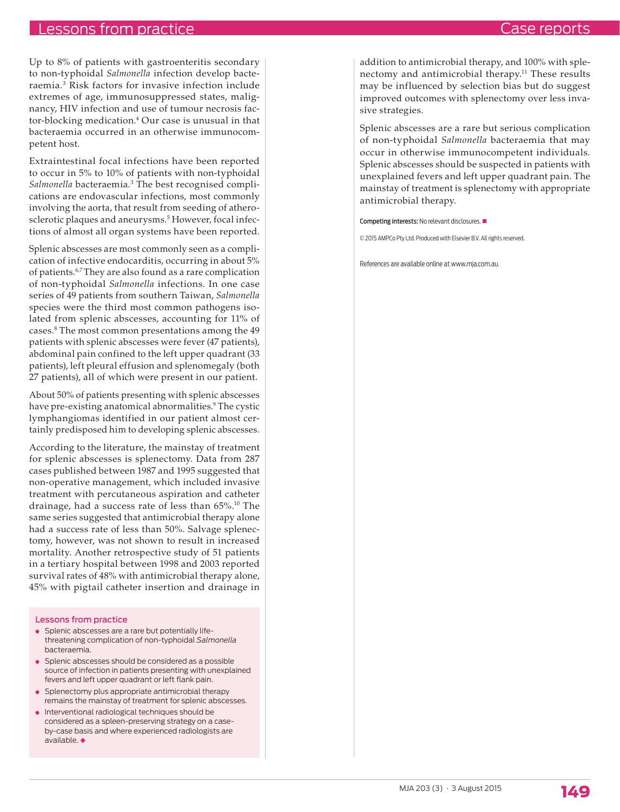## Case reports

# Lessons from practice

Up to 8% of patients with gastroenteritis secondary to non-typhoidal *Salmonella* infection develop bacteraemia.3 Risk factors for invasive infection include extremes of age, immunosuppressed states, malignancy, HIV infection and use of tumour necrosis factor-blocking medication.4 Our case is unusual in that bacteraemia occurred in an otherwise immunocompetent host.

Extraintestinal focal infections have been reported to occur in 5% to 10% of patients with non-typhoidal Salmonella bacteraemia.<sup>3</sup> The best recognised complications are endovascular infections, most commonly involving the aorta, that result from seeding of atherosclerotic plaques and aneurysms.<sup>5</sup> However, focal infections of almost all organ systems have been reported.

Splenic abscesses are most commonly seen as a complication of infective endocarditis, occurring in about 5% of patients.6,7 They are also found as a rare complication of non-typhoidal *Salmonella* infections. In one case series of 49 patients from southern Taiwan, *Salmonella* species were the third most common pathogens isolated from splenic abscesses, accounting for 11% of cases.8 The most common presentations among the 49 patients with splenic abscesses were fever (47 patients), abdominal pain confined to the left upper quadrant (33 patients), left pleural effusion and splenomegaly (both 27 patients), all of which were present in our patient.

About 50% of patients presenting with splenic abscesses have pre-existing anatomical abnormalities.<sup>9</sup> The cystic lymphangiomas identified in our patient almost certainly predisposed him to developing splenic abscesses.

According to the literature, the mainstay of treatment for splenic abscesses is splenectomy. Data from 287 cases published between 1987 and 1995 suggested that non-operative management, which included invasive treatment with percutaneous aspiration and catheter drainage, had a success rate of less than  $65\%$ .<sup>10</sup> The same series suggested that antimicrobial therapy alone had a success rate of less than 50%. Salvage splenectomy, however, was not shown to result in increased mortality. Another retrospective study of 51 patients in a tertiary hospital between 1998 and 2003 reported survival rates of 48% with antimicrobial therapy alone, 45% with pigtail catheter insertion and drainage in

#### Lessons from practice

- Splenic abscesses are a rare but potentially lifethreatening complication of non-typhoidal *Salmonella* bacteraemia.
- Splenic abscesses should be considered as a possible source of infection in patients presenting with unexplained fevers and left upper quadrant or left flank pain.
- Splenectomy plus appropriate antimicrobial therapy remains the mainstay of treatment for splenic abscesses.
- Interventional radiological techniques should be considered as a spleen-preserving strategy on a caseby-case basis and where experienced radiologists are  $a$ vailable.

addition to antimicrobial therapy, and 100% with splenectomy and antimicrobial therapy.<sup>11</sup> These results may be influenced by selection bias but do suggest improved outcomes with splenectomy over less invasive strategies.

Splenic abscesses are a rare but serious complication of non-typhoidal *Salmonella* bacteraemia that may occur in otherwise immunocompetent individuals. Splenic abscesses should be suspected in patients with unexplained fevers and left upper quadrant pain. The mainstay of treatment is splenectomy with appropriate antimicrobial therapy.

Competing interests: No relevant disclosures.

© 2015 AMPCo Pty Ltd. Produced with Elsevier B.V. All rights reserved.

References are available online at www.mja.com.au.